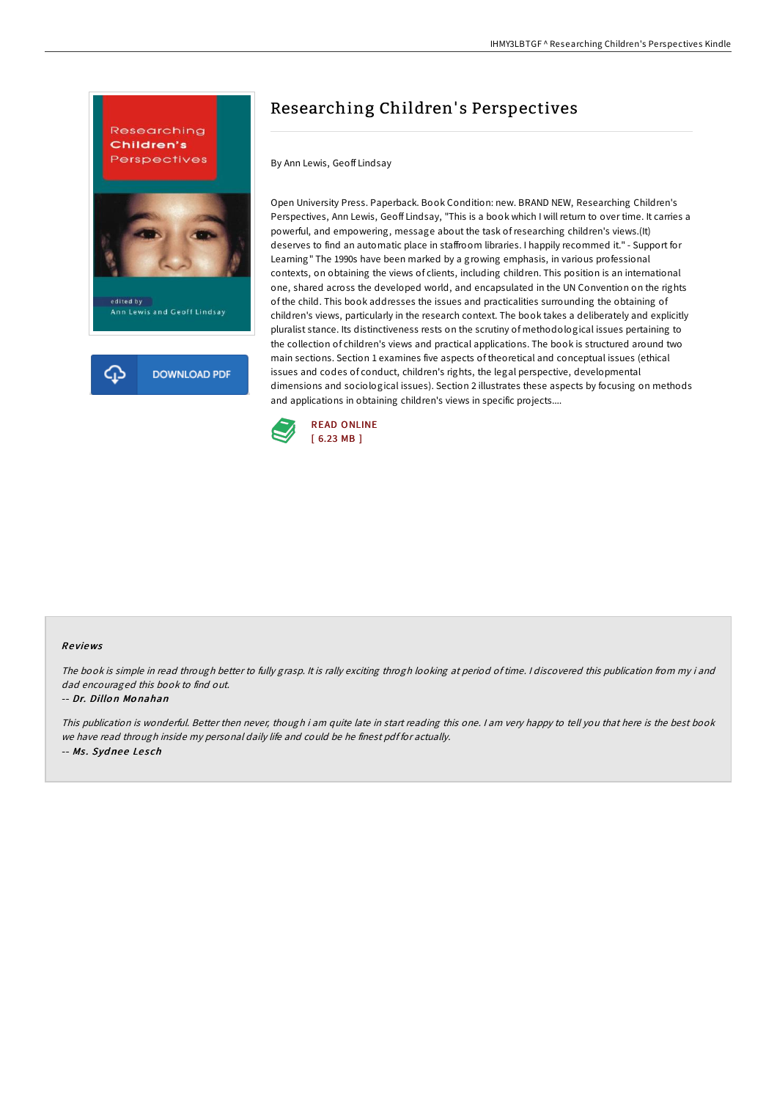

# Researching Children' s Perspectives

By Ann Lewis, Geoff Lindsay

Open University Press. Paperback. Book Condition: new. BRAND NEW, Researching Children's Perspectives, Ann Lewis, Geoff Lindsay, "This is a book which I will return to over time. It carries a powerful, and empowering, message about the task ofresearching children's views.(It) deserves to find an automatic place in staffroom libraries. I happily recommed it." - Support for Learning" The 1990s have been marked by a growing emphasis, in various professional contexts, on obtaining the views of clients, including children. This position is an international one, shared across the developed world, and encapsulated in the UN Convention on the rights of the child. This book addresses the issues and practicalities surrounding the obtaining of children's views, particularly in the research context. The book takes a deliberately and explicitly pluralist stance. Its distinctiveness rests on the scrutiny of methodological issues pertaining to the collection of children's views and practical applications. The book is structured around two main sections. Section 1 examines five aspects of theoretical and conceptual issues (ethical issues and codes of conduct, children's rights, the legal perspective, developmental dimensions and sociological issues). Section 2 illustrates these aspects by focusing on methods and applications in obtaining children's views in specific projects....



#### Re views

The book is simple in read through better to fully grasp. It is rally exciting throgh looking at period of time. <sup>I</sup> discovered this publication from my i and dad encouraged this book to find out.

#### -- Dr. Dillo <sup>n</sup> Mo nahan

This publication is wonderful. Better then never, though i am quite late in start reading this one. <sup>I</sup> am very happy to tell you that here is the best book we have read through inside my personal daily life and could be he finest pdf for actually. -- Ms. Sydnee Lesch